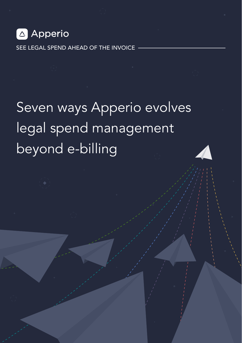

SEE LEGAL SPEND AHEAD OF THE INVOICE

## Seven ways Apperio evolves legal spend management beyond e-billing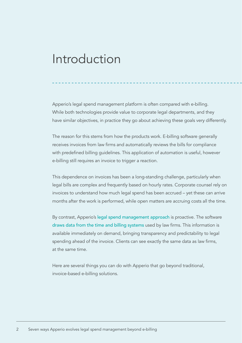### Introduction

Apperio's legal spend management platform is often compared with e-billing. While both technologies provide value to corporate legal departments, and they have similar objectives, in practice they go about achieving these goals very differently.

The reason for this stems from how the products work. E-billing software generally receives invoices from law firms and automatically reviews the bills for compliance with predefined billing guidelines. This application of automation is useful, however e-billing still requires an invoice to trigger a reaction.

This dependence on invoices has been a long-standing challenge, particularly when legal bills are complex and frequently based on hourly rates. Corporate counsel rely on invoices to understand how much legal spend has been accrued – yet these can arrive months after the work is performed, while open matters are accruing costs all the time.

By contrast, Apperio's [legal spend management approach](https://www.apperio.com/tag/legal-spend-management) is proactive. The software [draws data from the time and billing systems](https://www.apperio.com/blog/apperio-law-firms-faqs) used by law firms. This information is available immediately on demand, bringing transparency and predictability to legal spending ahead of the invoice. Clients can see exactly the same data as law firms, at the same time.

Here are several things you can do with Apperio that go beyond traditional. invoice-based e-billing solutions.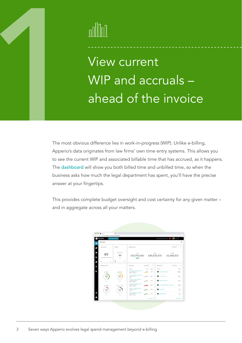

1 View current WIP and accruals – ahead of the invoice

The most obvious difference lies in work-in-progress (WIP). Unlike e-billing, Apperio's data originates from law firms' own time entry systems. This allows you to see the current WIP and associated billable time that has accrued, as it happens. The [dashboard](https://www.apperio.com/news/new-apperio-dashboards) will show you both billed time and unbilled time, so when the business asks how much the legal department has spent, you'll have the precise answer at your fingertips.

This provides complete budget oversight and cost certainty for any given matter – and in aggregate across all your matters.

| <b>OOO</b> BACKS<br>C . Province is combusiness that board | ×<br>٠                     |                                                                                                 |                                        |                                           | 会 1                                 |  |
|------------------------------------------------------------|----------------------------|-------------------------------------------------------------------------------------------------|----------------------------------------|-------------------------------------------|-------------------------------------|--|
| Apperio                                                    | Acres International        |                                                                                                 |                                        | Last Arts releast Nov 5, 2019             | <b>The America</b>                  |  |
| Dashbaard                                                  |                            |                                                                                                 |                                        |                                           |                                     |  |
| New matters                                                | <b>Matters</b>             | Spend summary                                                                                   |                                        |                                           | Thiceands<br>٠                      |  |
| Now matters rend scring                                    | Without Miles<br>86<br>456 | Total<br><b>Billind</b><br><b>United</b><br>£12,931,685 £10,531,370 £2,400,315<br><b>HOLA</b>   |                                        |                                           |                                     |  |
| $\mathbf{r}$<br><b>Mark</b><br><b>Budget summary</b>       | $\mathbf{r}$<br>Ves        | Top matters:                                                                                    | This month<br>٠                        | You Low firms:                            | Thiungeth<br>٠                      |  |
| (2.400.311)                                                | 03333370                   | Motor<br>Jones Soda Co. - 45 Corbett Esta<br><b>Wanter Barb &amp; Ladiers</b><br>ENEA  > Borlin | <b>Sold</b><br>Ported<br>64400<br>6676 | <b>Louisval</b><br>Kenner, Bach & Ledorer | <b>Backup</b><br>£125.6c<br>$-10.5$ |  |
| 40%<br>139                                                 | 30%<br>$^{50}$             | Lease rement \$44 Charles Him<br><b>Parters Show Glorid</b><br><b>CASA</b>                      | (200.24)<br>125.66                     | <b>D</b> Patton Shan Edged                | £93.5x<br>$\sim$                    |  |
| Von                                                        | Vol.                       | <b>Killsman</b> - 436 Church Burght<br>Kenner Bach & Ladiers<br>APSC + Singupore                | C10c<br>63254                          | <b>Pelfield &amp; Associates</b>          | 0.82.76<br><b>Table</b>             |  |
| £12,931,605                                                | Without badget             | Discousse Communications - NS.<br>Kenner, Bach & Ledison<br>EWEA  > Barlin                      | 633.26<br>£300k                        | West Wheder Helenan Salowan,              | £23.2×<br><b>Contractor</b>         |  |
| 10%<br>$^{30}$                                             | 20%<br>$\omega$            | Chem Cry - 1349 Altitudiend<br><b>Buffeld &amp; Associates</b><br>Annis                         | £121.66<br>45.5%                       | <b>B</b> South 14                         | <b>CLO</b><br>$-10.5$               |  |
|                                                            |                            | Vide-503 Ohnoud Expresses<br><b>Parties Show &amp; Local</b><br>ENSA 1  1 Bora                  | <b>CIRRSA</b><br>(3.6)                 | Network Martinsk                          | (2.5)<br><b>STAR</b>                |  |
| Ves                                                        | Vine                       |                                                                                                 |                                        |                                           |                                     |  |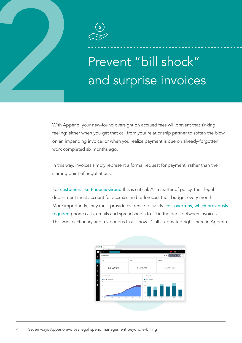

## Prevent "bill shock" and surprise invoices

2 With Apperio, your new-found oversight on accrued fees will prevent that sinking feeling: either when you get that call from your relationship partner to soften the blow on an impending invoice, or when you realize payment is due on already-forgotten work completed six months ago.

> In this way, invoices simply represent a formal request for payment, rather than the starting point of negotiations.

For [customers like Phoenix Group](https://www.apperio.com/stories/phoenix-group) this is critical. As a matter of policy, their legal department must account for accruals and re-forecast their budget every month. More importantly, they must provide evidence to justify [cost overruns, which previously](https://www.apperio.com/blog/legal-budget-private-equity)  [required](https://www.apperio.com/blog/legal-budget-private-equity) phone calls, emails and spreadsheets to fill in the gaps between invoices. This was reactionary and a laborious task – now it's all automated right there in Apperio.

| <b>SEE BASES</b>                        | × L                        |                       |                                                   |                                    |                          |  |  |
|-----------------------------------------|----------------------------|-----------------------|---------------------------------------------------|------------------------------------|--------------------------|--|--|
| C B Hirt-Sapperin compusivess/deshboard |                            |                       |                                                   |                                    | 9.1                      |  |  |
| Apperio                                 | Acres International        |                       |                                                   |                                    | <b>Ca</b> Amdrein<br>×.  |  |  |
| Spend overview<br>ť.                    |                            |                       |                                                   | $\pm$ 0                            | 1.67300-310er2339 B      |  |  |
| ö<br>Total                              |                            | Billed                |                                                   | Unbilled                           |                          |  |  |
| ā)<br>Б                                 | £3,139,587                 | £1,945,466            |                                                   | £1,194,121                         |                          |  |  |
| 司<br>Currelative Spend                  |                            |                       | Monthly spend                                     |                                    |                          |  |  |
| For B Courses<br>Ш<br>con               |                            |                       | <b>B</b> titled <b>B</b> thinking<br><b>CRISS</b> |                                    |                          |  |  |
| ÷,<br>Chr.                              |                            |                       | Current                                           |                                    |                          |  |  |
| CN                                      |                            |                       | (439)                                             |                                    |                          |  |  |
| cze                                     |                            |                       | cm                                                |                                    |                          |  |  |
|                                         | On.<br>$\lambda$<br>$\sim$ | $^{12}$<br><b>New</b> | $\alpha$<br>$_{\rm{1d}}$<br>$\Delta\alpha$        | Om<br>$\mathcal{G}_{\mathrm{opt}}$ | Corp.<br><b>Security</b> |  |  |
|                                         |                            |                       |                                                   |                                    |                          |  |  |
|                                         |                            |                       |                                                   |                                    |                          |  |  |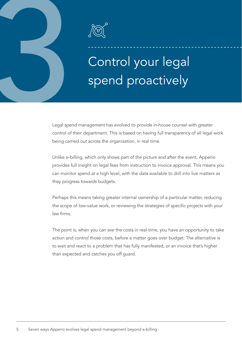

# 3 Control your legal spend proactively

Legal spend management has evolved to provide in-house counsel with greater control of their department. This is based on having full transparency of all legal work being carried out across the organization, in real time.

Unlike e-billing, which only shows part of the picture and after the event, Apperio provides full insight on legal fees from instruction to invoice approval. This means you can monitor spend at a high level, with the data available to drill into live matters as they progress towards budgets.

Perhaps this means taking greater internal ownership of a particular matter, reducing the scope of low-value work, or reviewing the strategies of specific projects with your law firms.

The point is, when you can see the costs in real-time, you have an opportunity to take action and control those costs, before a matter goes over budget. The alternative is to wait and react to a problem that has fully manifested, or an invoice that's higher than expected and catches you off guard.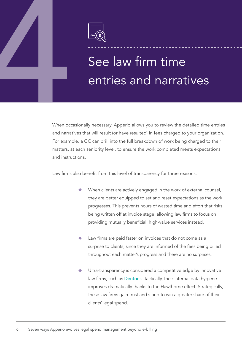

# See law firm time<br>
See law firm time<br>
entries and narrationally necessary, Apperio allows you to review the det<br>
and narratives that will result (or have resulted) in fees charged to y entries and narratives

When occasionally necessary, Apperio allows you to review the detailed time entries and narratives that will result (or have resulted) in fees charged to your organization. For example, a GC can drill into the full breakdown of work being charged to their matters, at each seniority level, to ensure the work completed meets expectations and instructions.

Law firms also benefit from this level of transparency for three reasons:

- When clients are actively engaged in the work of external counsel, they are better equipped to set and reset expectations as the work progresses. This prevents hours of wasted time and effort that risks being written off at invoice stage, allowing law firms to focus on providing mutually beneficial, high-value services instead.
- Law firms are paid faster on invoices that do not come as a surprise to clients, since they are informed of the fees being billed throughout each matter's progress and there are no surprises.
- Ultra-transparency is considered a competitive edge by innovative law firms, such as [Dentons](https://info.apperio.com/rs/793-ZDU-141/images/Ultra-Transparency-in-Law-Firm-Fees-Is-a-Competitive-Advantage.pdf). Tactically, their internal data hygiene improves dramatically thanks to the Hawthorne effect. Strategically, these law firms gain trust and stand to win a greater share of their clients' legal spend.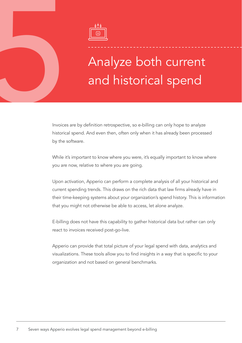

# 5 Analyze both current and historical spend

Invoices are by definition retrospective, so e-billing can only hope to analyze historical spend. And even then, often only when it has already been processed by the software.

While it's important to know where you were, it's equally important to know where you are now, relative to where you are going.

Upon activation, Apperio can perform a complete analysis of all your historical and current spending trends. This draws on the rich data that law firms already have in their time-keeping systems about your organization's spend history. This is information that you might not otherwise be able to access, let alone analyze.

E-billing does not have this capability to gather historical data but rather can only react to invoices received post-go-live.

Apperio can provide that total picture of your legal spend with data, analytics and visualizations. These tools allow you to find insights in a way that is specific to your organization and not based on general benchmarks.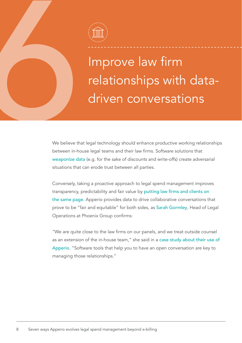

**Example 18 April 1997**<br> **Example 18 April 1997**<br>
We believe that legal technology should enhance productive work<br>
We believe that legal technology should enhance productive work<br>
weaponize data (e.g. for the sake of disco relationships with datadriven conversations

We believe that legal technology should enhance productive working relationships between in-house legal teams and their law firms. Software solutions that weaponize data (e.g. for the sake of discounts and write-offs) create adversarial situations that can erode trust between all parties.

Conversely, taking a proactive approach to legal spend management improves transparency, predictability and fair value by [putting law firms and clients on](https://www.apperio.com/news/apperio-new-law-firm-dashboard)  [the same page](https://www.apperio.com/news/apperio-new-law-firm-dashboard). Apperio provides data to drive collaborative conversations that prove to be "fair and equitable" for both sides, as [Sarah Gormley](https://www.linkedin.com/in/sarah-gormley-3a423ba3/), Head of Legal Operations at Phoenix Group confirms:

"We are quite close to the law firms on our panels, and we treat outside counsel as an extension of the in-house team," she said in a [case study about their use of](https://www.apperio.com/stories/phoenix-group)  [Apperio](https://www.apperio.com/stories/phoenix-group). "Software tools that help you to have an open conversation are key to managing those relationships."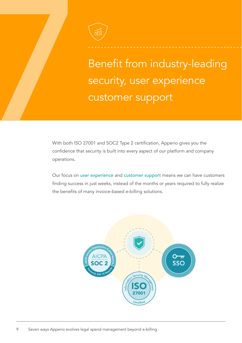

Figure 1<br>
The merit from industry-leading<br>
Security, user experience<br>
customer support<br>
With both ISO 27001 and SOC2 Type 2 certification, Appenio gives you the<br>
confidence that security is built into every aspect of our p security, user experience customer support

With both ISO 27001 and SOC2 Type 2 certification, Apperio gives you the confidence that security is built into every aspect of our platform and company operations.

Our focus on [user experience](https://www.apperio.com/blog/legal-tech-user-experience) and [customer support](https://www.apperio.com/blog/day-in-life-apperio-support) means we can have customers finding success in just weeks, instead of the months or years required to fully realize the benefits of many invoice-based e-billing solutions.

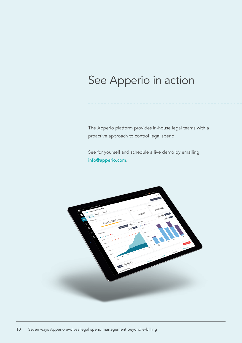### See Apperio in action

The Apperio platform provides in-house legal teams with a proactive approach to control legal spend.

See for yourself and schedule a live demo by emailing [info@apperio.com](mailto:info%40apperio.com?subject=).